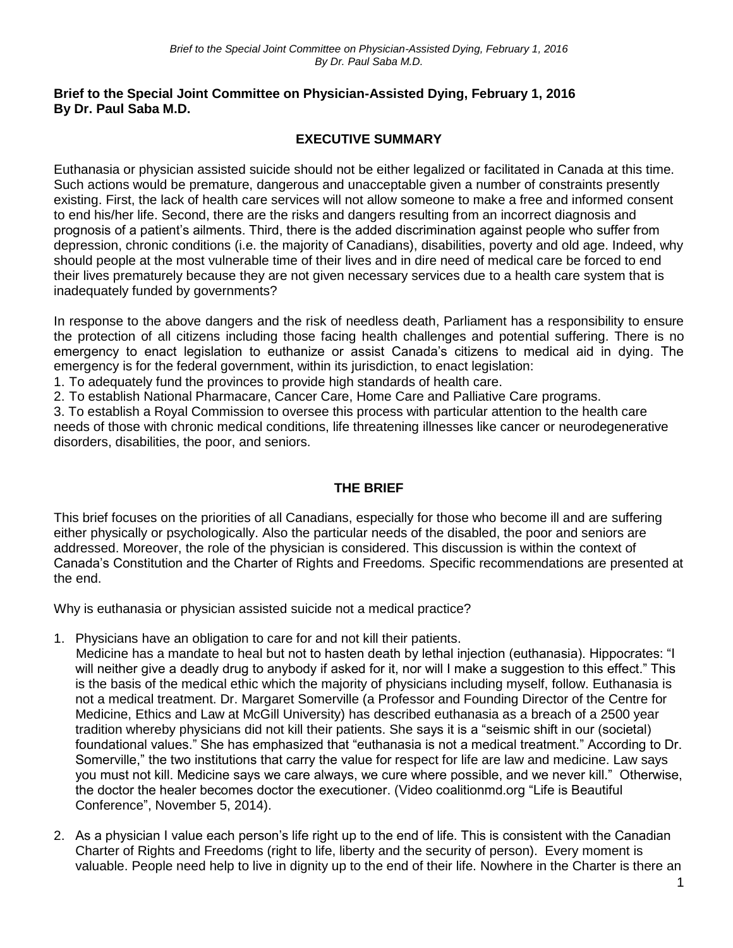### **Brief to the Special Joint Committee on Physician-Assisted Dying, February 1, 2016 By Dr. Paul Saba M.D.**

# **EXECUTIVE SUMMARY**

Euthanasia or physician assisted suicide should not be either legalized or facilitated in Canada at this time. Such actions would be premature, dangerous and unacceptable given a number of constraints presently existing. First, the lack of health care services will not allow someone to make a free and informed consent to end his/her life. Second, there are the risks and dangers resulting from an incorrect diagnosis and prognosis of a patient's ailments. Third, there is the added discrimination against people who suffer from depression, chronic conditions (i.e. the majority of Canadians), disabilities, poverty and old age. Indeed, why should people at the most vulnerable time of their lives and in dire need of medical care be forced to end their lives prematurely because they are not given necessary services due to a health care system that is inadequately funded by governments?

In response to the above dangers and the risk of needless death, Parliament has a responsibility to ensure the protection of all citizens including those facing health challenges and potential suffering. There is no emergency to enact legislation to euthanize or assist Canada's citizens to medical aid in dying. The emergency is for the federal government, within its jurisdiction, to enact legislation:

1. To adequately fund the provinces to provide high standards of health care.

2. To establish National Pharmacare, Cancer Care, Home Care and Palliative Care programs.

3. To establish a Royal Commission to oversee this process with particular attention to the health care needs of those with chronic medical conditions, life threatening illnesses like cancer or neurodegenerative disorders, disabilities, the poor, and seniors.

# **THE BRIEF**

This brief focuses on the priorities of all Canadians, especially for those who become ill and are suffering either physically or psychologically. Also the particular needs of the disabled, the poor and seniors are addressed. Moreover, the role of the physician is considered. This discussion is within the context of Canada's Constitution and the Charter of Rights and Freedoms*. S*pecific recommendations are presented at the end.

Why is euthanasia or physician assisted suicide not a medical practice?

- 1. Physicians have an obligation to care for and not kill their patients.
- Medicine has a mandate to heal but not to hasten death by lethal injection (euthanasia). Hippocrates: "I will neither give a deadly drug to anybody if asked for it, nor will I make a suggestion to this effect." This is the basis of the medical ethic which the majority of physicians including myself, follow. Euthanasia is not a medical treatment. Dr. Margaret Somerville (a Professor and Founding Director of the Centre for Medicine, Ethics and Law at McGill University) has described euthanasia as a breach of a 2500 year tradition whereby physicians did not kill their patients. She says it is a "seismic shift in our (societal) foundational values." She has emphasized that "euthanasia is not a medical treatment." According to Dr. Somerville," the two institutions that carry the value for respect for life are law and medicine. Law says you must not kill. Medicine says we care always, we cure where possible, and we never kill." Otherwise, the doctor the healer becomes doctor the executioner. (Video coalitionmd.org "Life is Beautiful Conference", November 5, 2014).
- 2. As a physician I value each person's life right up to the end of life. This is consistent with the Canadian Charter of Rights and Freedoms (right to life, liberty and the security of person). Every moment is valuable. People need help to live in dignity up to the end of their life. Nowhere in the Charter is there an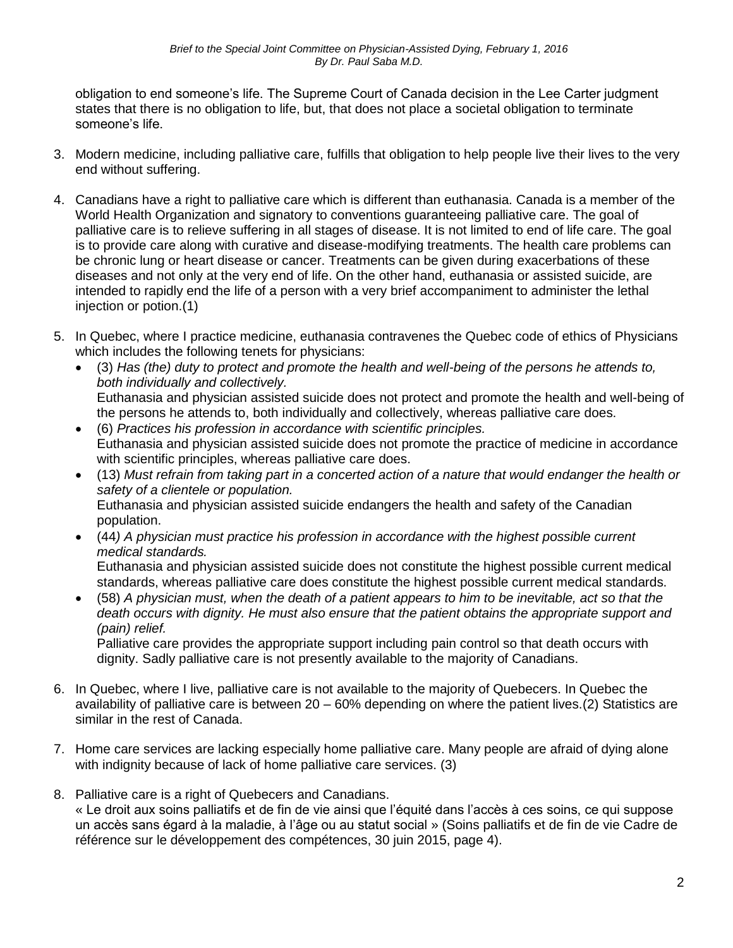obligation to end someone's life. The Supreme Court of Canada decision in the Lee Carter judgment states that there is no obligation to life, but, that does not place a societal obligation to terminate someone's life.

- 3. Modern medicine, including palliative care, fulfills that obligation to help people live their lives to the very end without suffering.
- 4. Canadians have a right to palliative care which is different than euthanasia. Canada is a member of the World Health Organization and signatory to conventions guaranteeing palliative care. The goal of palliative care is to relieve suffering in all stages of disease. It is not limited to end of life care. The goal is to provide care along with curative and disease-modifying treatments. The health care problems can be chronic lung or heart disease or cancer. Treatments can be given during exacerbations of these diseases and not only at the very end of life. On the other hand, euthanasia or assisted suicide, are intended to rapidly end the life of a person with a very brief accompaniment to administer the lethal injection or potion.(1)
- 5. In Quebec, where I practice medicine, euthanasia contravenes the Quebec code of ethics of Physicians which includes the following tenets for physicians:
	- (3) *Has (the) duty to protect and promote the health and well-being of the persons he attends to, both individually and collectively.*  Euthanasia and physician assisted suicide does not protect and promote the health and well-being of the persons he attends to, both individually and collectively, whereas palliative care does.
	- (6) *Practices his profession in accordance with scientific principles.*  Euthanasia and physician assisted suicide does not promote the practice of medicine in accordance with scientific principles, whereas palliative care does.
	- (13) *Must refrain from taking part in a concerted action of a nature that would endanger the health or safety of a clientele or population.* Euthanasia and physician assisted suicide endangers the health and safety of the Canadian population.
	- (44*) A physician must practice his profession in accordance with the highest possible current medical standards.*  Euthanasia and physician assisted suicide does not constitute the highest possible current medical standards, whereas palliative care does constitute the highest possible current medical standards.
	- (58) *A physician must, when the death of a patient appears to him to be inevitable, act so that the death occurs with dignity. He must also ensure that the patient obtains the appropriate support and (pain) relief.*

Palliative care provides the appropriate support including pain control so that death occurs with dignity. Sadly palliative care is not presently available to the majority of Canadians.

- 6. In Quebec, where I live, palliative care is not available to the majority of Quebecers. In Quebec the availability of palliative care is between 20 – 60% depending on where the patient lives.(2) Statistics are similar in the rest of Canada.
- 7. Home care services are lacking especially home palliative care. Many people are afraid of dying alone with indignity because of lack of home palliative care services. (3)
- 8. Palliative care is a right of Quebecers and Canadians. « Le droit aux soins palliatifs et de fin de vie ainsi que l'équité dans l'accès à ces soins, ce qui suppose un accès sans égard à la maladie, à l'âge ou au statut social » (Soins palliatifs et de fin de vie Cadre de référence sur le développement des compétences, 30 juin 2015, page 4).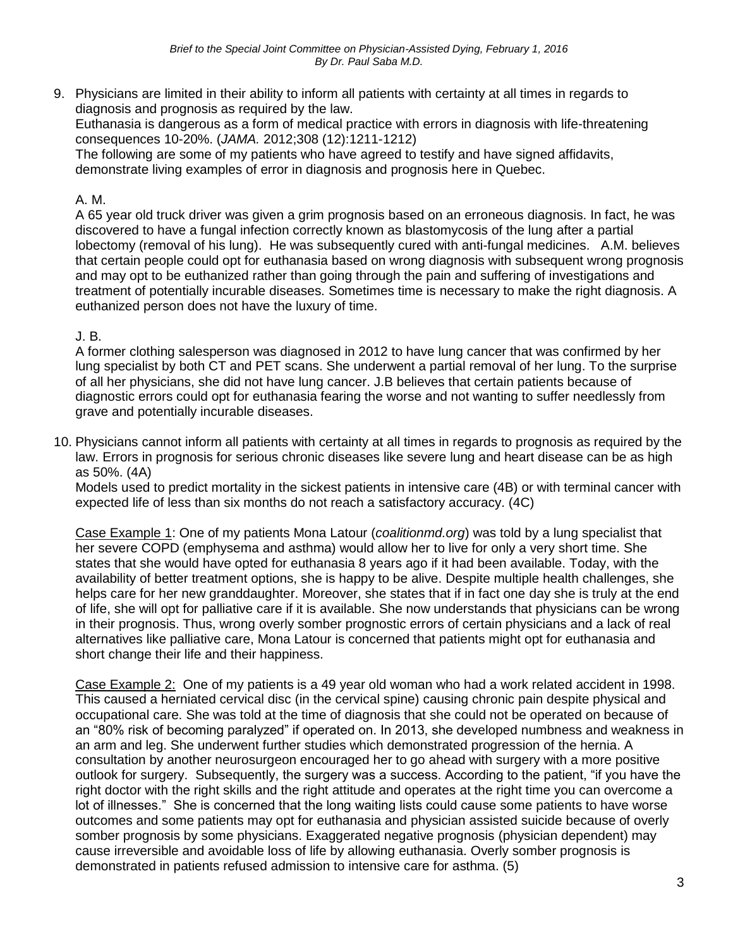9. Physicians are limited in their ability to inform all patients with certainty at all times in regards to diagnosis and prognosis as required by the law. Euthanasia is dangerous as a form of medical practice with errors in diagnosis with life-threatening consequences 10-20%. (*JAMA.* 2012;308 (12):1211-1212) The following are some of my patients who have agreed to testify and have signed affidavits, demonstrate living examples of error in diagnosis and prognosis here in Quebec.

### A. M.

A 65 year old truck driver was given a grim prognosis based on an erroneous diagnosis. In fact, he was discovered to have a fungal infection correctly known as blastomycosis of the lung after a partial lobectomy (removal of his lung). He was subsequently cured with anti-fungal medicines. A.M. believes that certain people could opt for euthanasia based on wrong diagnosis with subsequent wrong prognosis and may opt to be euthanized rather than going through the pain and suffering of investigations and treatment of potentially incurable diseases. Sometimes time is necessary to make the right diagnosis. A euthanized person does not have the luxury of time.

## J. B.

A former clothing salesperson was diagnosed in 2012 to have lung cancer that was confirmed by her lung specialist by both CT and PET scans. She underwent a partial removal of her lung. To the surprise of all her physicians, she did not have lung cancer. J.B believes that certain patients because of diagnostic errors could opt for euthanasia fearing the worse and not wanting to suffer needlessly from grave and potentially incurable diseases.

10. Physicians cannot inform all patients with certainty at all times in regards to prognosis as required by the law. Errors in prognosis for serious chronic diseases like severe lung and heart disease can be as high as 50%. (4A)

Models used to predict mortality in the sickest patients in intensive care (4B) or with terminal cancer with expected life of less than six months do not reach a satisfactory accuracy. (4C)

Case Example 1: One of my patients Mona Latour (*coalitionmd.org*) was told by a lung specialist that her severe COPD (emphysema and asthma) would allow her to live for only a very short time. She states that she would have opted for euthanasia 8 years ago if it had been available. Today, with the availability of better treatment options, she is happy to be alive. Despite multiple health challenges, she helps care for her new granddaughter. Moreover, she states that if in fact one day she is truly at the end of life, she will opt for palliative care if it is available. She now understands that physicians can be wrong in their prognosis. Thus, wrong overly somber prognostic errors of certain physicians and a lack of real alternatives like palliative care, Mona Latour is concerned that patients might opt for euthanasia and short change their life and their happiness.

Case Example 2: One of my patients is a 49 year old woman who had a work related accident in 1998. This caused a herniated cervical disc (in the cervical spine) causing chronic pain despite physical and occupational care. She was told at the time of diagnosis that she could not be operated on because of an "80% risk of becoming paralyzed" if operated on. In 2013, she developed numbness and weakness in an arm and leg. She underwent further studies which demonstrated progression of the hernia. A consultation by another neurosurgeon encouraged her to go ahead with surgery with a more positive outlook for surgery. Subsequently, the surgery was a success. According to the patient, "if you have the right doctor with the right skills and the right attitude and operates at the right time you can overcome a lot of illnesses." She is concerned that the long waiting lists could cause some patients to have worse outcomes and some patients may opt for euthanasia and physician assisted suicide because of overly somber prognosis by some physicians. Exaggerated negative prognosis (physician dependent) may cause irreversible and avoidable loss of life by allowing euthanasia. Overly somber prognosis is demonstrated in patients refused admission to intensive care for asthma. (5)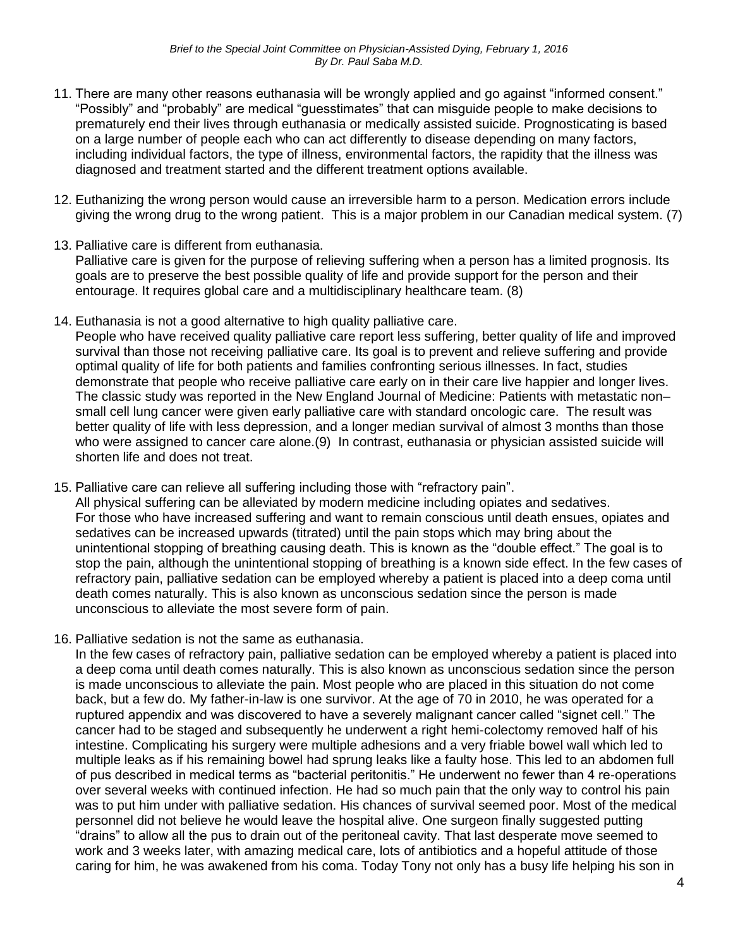- 11. There are many other reasons euthanasia will be wrongly applied and go against "informed consent." "Possibly" and "probably" are medical "guesstimates" that can misguide people to make decisions to prematurely end their lives through euthanasia or medically assisted suicide. Prognosticating is based on a large number of people each who can act differently to disease depending on many factors, including individual factors, the type of illness, environmental factors, the rapidity that the illness was diagnosed and treatment started and the different treatment options available.
- 12. Euthanizing the wrong person would cause an irreversible harm to a person. Medication errors include giving the wrong drug to the wrong patient. This is a major problem in our Canadian medical system. (7)
- 13. Palliative care is different from euthanasia. Palliative care is given for the purpose of relieving suffering when a person has a limited prognosis. Its goals are to preserve the best possible quality of life and provide support for the person and their entourage. It requires global care and a multidisciplinary healthcare team. (8)
- 14. Euthanasia is not a good alternative to high quality palliative care. People who have received quality palliative care report less suffering, better quality of life and improved survival than those not receiving palliative care. Its goal is to prevent and relieve suffering and provide optimal quality of life for both patients and families confronting serious illnesses. In fact, studies demonstrate that people who receive palliative care early on in their care live happier and longer lives. The classic study was reported in the New England Journal of Medicine: Patients with metastatic non– small cell lung cancer were given early palliative care with standard oncologic care. The result was better quality of life with less depression, and a longer median survival of almost 3 months than those who were assigned to cancer care alone.(9) In contrast, euthanasia or physician assisted suicide will shorten life and does not treat.
- 15. Palliative care can relieve all suffering including those with "refractory pain". All physical suffering can be alleviated by modern medicine including opiates and sedatives. For those who have increased suffering and want to remain conscious until death ensues, opiates and sedatives can be increased upwards (titrated) until the pain stops which may bring about the unintentional stopping of breathing causing death. This is known as the "double effect." The goal is to stop the pain, although the unintentional stopping of breathing is a known side effect. In the few cases of refractory pain, palliative sedation can be employed whereby a patient is placed into a deep coma until death comes naturally. This is also known as unconscious sedation since the person is made unconscious to alleviate the most severe form of pain.
- 16. Palliative sedation is not the same as euthanasia.

In the few cases of refractory pain, palliative sedation can be employed whereby a patient is placed into a deep coma until death comes naturally. This is also known as unconscious sedation since the person is made unconscious to alleviate the pain. Most people who are placed in this situation do not come back, but a few do. My father-in-law is one survivor. At the age of 70 in 2010, he was operated for a ruptured appendix and was discovered to have a severely malignant cancer called "signet cell." The cancer had to be staged and subsequently he underwent a right hemi-colectomy removed half of his intestine. Complicating his surgery were multiple adhesions and a very friable bowel wall which led to multiple leaks as if his remaining bowel had sprung leaks like a faulty hose. This led to an abdomen full of pus described in medical terms as "bacterial peritonitis." He underwent no fewer than 4 re-operations over several weeks with continued infection. He had so much pain that the only way to control his pain was to put him under with palliative sedation. His chances of survival seemed poor. Most of the medical personnel did not believe he would leave the hospital alive. One surgeon finally suggested putting "drains" to allow all the pus to drain out of the peritoneal cavity. That last desperate move seemed to work and 3 weeks later, with amazing medical care, lots of antibiotics and a hopeful attitude of those caring for him, he was awakened from his coma. Today Tony not only has a busy life helping his son in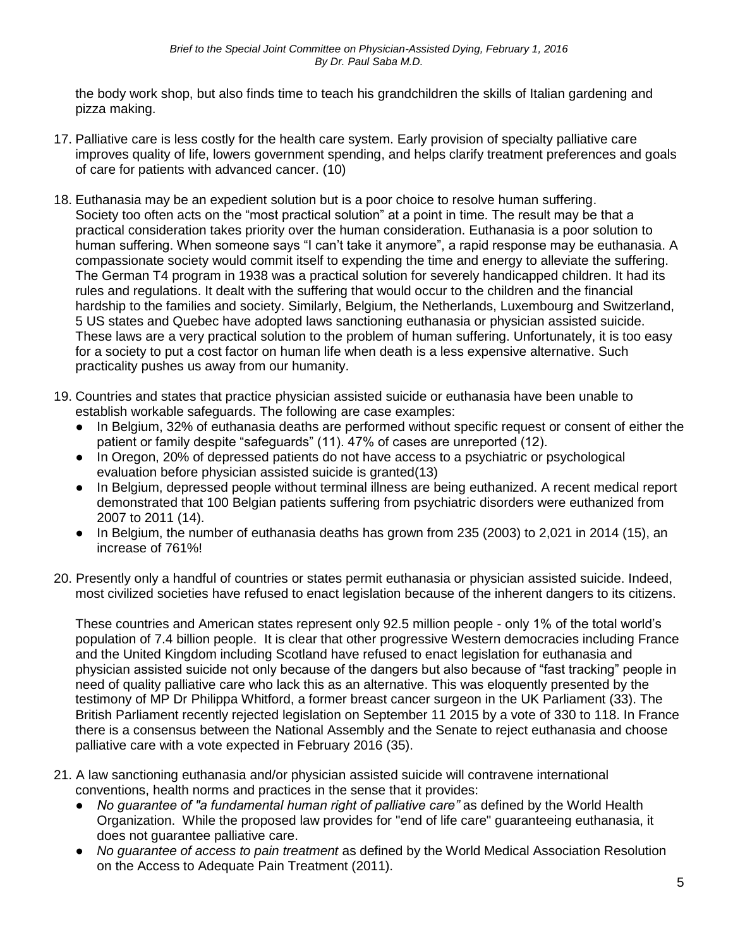the body work shop, but also finds time to teach his grandchildren the skills of Italian gardening and pizza making.

- 17. Palliative care is less costly for the health care system. Early provision of specialty palliative care improves quality of life, lowers government spending, and helps clarify treatment preferences and goals of care for patients with advanced cancer. (10)
- 18. Euthanasia may be an expedient solution but is a poor choice to resolve human suffering. Society too often acts on the "most practical solution" at a point in time. The result may be that a practical consideration takes priority over the human consideration. Euthanasia is a poor solution to human suffering. When someone says "I can't take it anymore", a rapid response may be euthanasia. A compassionate society would commit itself to expending the time and energy to alleviate the suffering. The German T4 program in 1938 was a practical solution for severely handicapped children. It had its rules and regulations. It dealt with the suffering that would occur to the children and the financial hardship to the families and society. Similarly, Belgium, the Netherlands, Luxembourg and Switzerland, 5 US states and Quebec have adopted laws sanctioning euthanasia or physician assisted suicide. These laws are a very practical solution to the problem of human suffering. Unfortunately, it is too easy for a society to put a cost factor on human life when death is a less expensive alternative. Such practicality pushes us away from our humanity.
- 19. Countries and states that practice physician assisted suicide or euthanasia have been unable to establish workable safeguards. The following are case examples:
	- In Belgium, 32% of euthanasia deaths are performed without specific request or consent of either the patient or family despite "safeguards" (11). 47% of cases are unreported (12).
	- In Oregon, 20% of depressed patients do not have access to a psychiatric or psychological evaluation before physician assisted suicide is granted(13)
	- In Belgium, depressed people without terminal illness are being euthanized. A recent medical report demonstrated that 100 Belgian patients suffering from psychiatric disorders were euthanized from 2007 to 2011 (14).
	- In Belgium, the number of euthanasia deaths has grown from 235 (2003) to 2,021 in 2014 (15), an increase of 761%!
- 20. Presently only a handful of countries or states permit euthanasia or physician assisted suicide. Indeed, most civilized societies have refused to enact legislation because of the inherent dangers to its citizens.

These countries and American states represent only 92.5 million people - only 1% of the total world's population of 7.4 billion people. It is clear that other progressive Western democracies including France and the United Kingdom including Scotland have refused to enact legislation for euthanasia and physician assisted suicide not only because of the dangers but also because of "fast tracking" people in need of quality palliative care who lack this as an alternative. This was eloquently presented by the testimony of MP Dr Philippa Whitford, a former breast cancer surgeon in the UK Parliament (33). The British Parliament recently rejected legislation on September 11 2015 by a vote of 330 to 118. In France there is a consensus between the National Assembly and the Senate to reject euthanasia and choose palliative care with a vote expected in February 2016 (35).

- 21. A law sanctioning euthanasia and/or physician assisted suicide will contravene international conventions, health norms and practices in the sense that it provides:
	- *No guarantee of "a fundamental human right of palliative care"* as defined by the World Health Organization. While the proposed law provides for "end of life care" guaranteeing euthanasia, it does not guarantee palliative care.
	- *No guarantee of access to pain treatment* as defined by the World Medical Association Resolution on the Access to Adequate Pain Treatment (2011).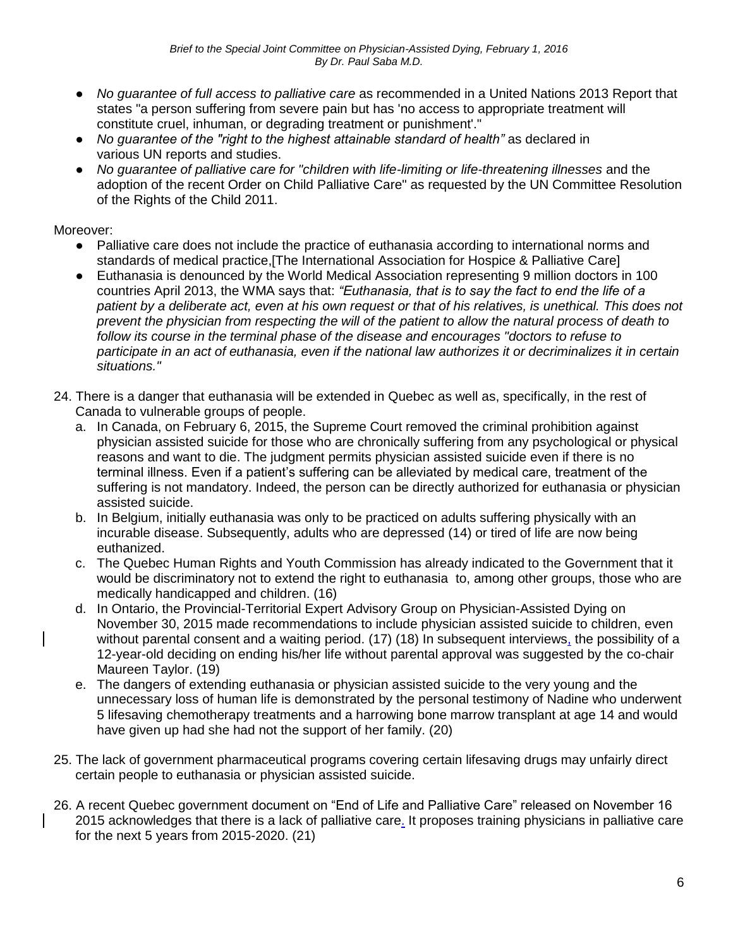- *No guarantee of full access to palliative care* as recommended in a United Nations 2013 Report that states "a person suffering from severe pain but has 'no access to appropriate treatment will constitute cruel, inhuman, or degrading treatment or punishment'."
- *No guarantee of the "right to the highest attainable standard of health"* as declared in various UN reports and studies.
- *No guarantee of palliative care for "children with life-limiting or life-threatening illnesses* and the adoption of the recent Order on Child Palliative Care" as requested by the UN Committee Resolution of the Rights of the Child 2011.

Moreover:

- Palliative care does not include the practice of euthanasia according to international norms and standards of medical practice,[The International Association for Hospice & Palliative Care]
- Euthanasia is denounced by the World Medical Association representing 9 million doctors in 100 countries April 2013, the WMA says that: *"Euthanasia, that is to say the fact to end the life of a patient by a deliberate act, even at his own request or that of his relatives, is unethical. This does not prevent the physician from respecting the will of the patient to allow the natural process of death to*  follow its course in the terminal phase of the disease and encourages "doctors to refuse to *participate in an act of euthanasia, even if the national law authorizes it or decriminalizes it in certain situations."*
- 24. There is a danger that euthanasia will be extended in Quebec as well as, specifically, in the rest of Canada to vulnerable groups of people.
	- a. In Canada, on February 6, 2015, the Supreme Court removed the criminal prohibition against physician assisted suicide for those who are chronically suffering from any psychological or physical reasons and want to die. The judgment permits physician assisted suicide even if there is no terminal illness. Even if a patient's suffering can be alleviated by medical care, treatment of the suffering is not mandatory. Indeed, the person can be directly authorized for euthanasia or physician assisted suicide.
	- b. In Belgium, initially euthanasia was only to be practiced on adults suffering physically with an incurable disease. Subsequently, adults who are depressed (14) or tired of life are now being euthanized.
	- c. The Quebec Human Rights and Youth Commission has already indicated to the Government that it would be discriminatory not to extend the right to euthanasia to, among other groups, those who are medically handicapped and children. (16)
	- d. In Ontario, the Provincial-Territorial Expert Advisory Group on Physician-Assisted Dying on November 30, 2015 made recommendations to include physician assisted suicide to children, even without parental consent and a waiting period. (17) (18) In subsequent interviews, the possibility of a 12-year-old deciding on ending his/her life without parental approval was suggested by the co-chair Maureen Taylor. (19)
	- e. The dangers of extending euthanasia or physician assisted suicide to the very young and the unnecessary loss of human life is demonstrated by the personal testimony of Nadine who underwent 5 lifesaving chemotherapy treatments and a harrowing bone marrow transplant at age 14 and would have given up had she had not the support of her family. (20)
- 25. The lack of government pharmaceutical programs covering certain lifesaving drugs may unfairly direct certain people to euthanasia or physician assisted suicide.
- 26. A recent Quebec government document on "End of Life and Palliative Care" released on November 16 2015 acknowledges that there is a lack of palliative care. It proposes training physicians in palliative care for the next 5 years from 2015-2020. (21)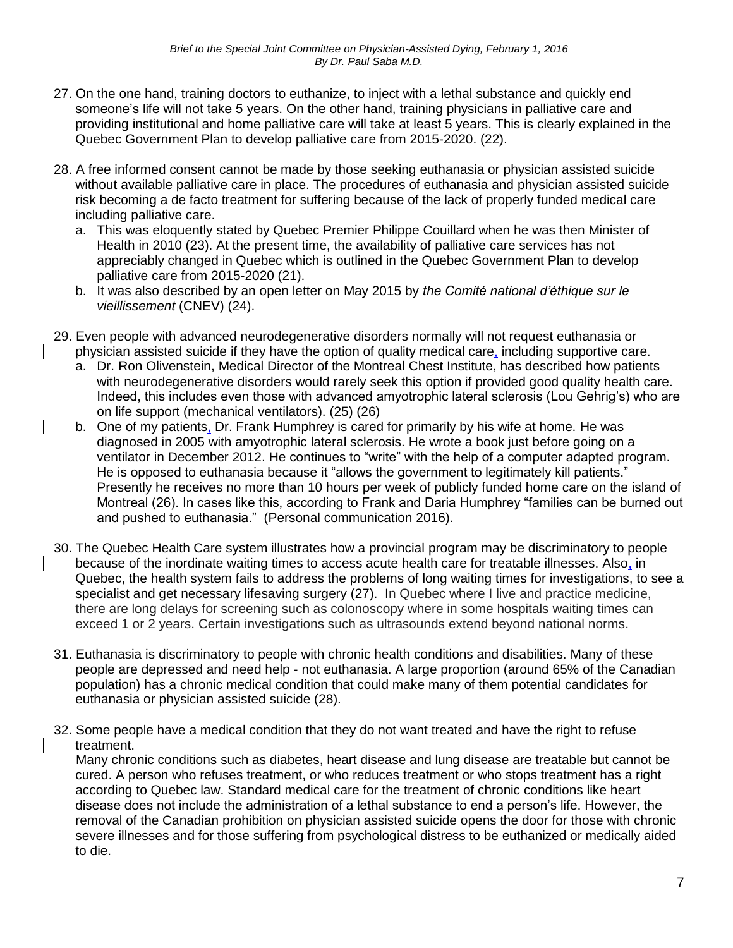- 27. On the one hand, training doctors to euthanize, to inject with a lethal substance and quickly end someone's life will not take 5 years. On the other hand, training physicians in palliative care and providing institutional and home palliative care will take at least 5 years. This is clearly explained in the Quebec Government Plan to develop palliative care from 2015-2020. (22).
- 28. A free informed consent cannot be made by those seeking euthanasia or physician assisted suicide without available palliative care in place. The procedures of euthanasia and physician assisted suicide risk becoming a de facto treatment for suffering because of the lack of properly funded medical care including palliative care.
	- a. This was eloquently stated by Quebec Premier Philippe Couillard when he was then Minister of Health in 2010 (23). At the present time, the availability of palliative care services has not appreciably changed in Quebec which is outlined in the Quebec Government Plan to develop palliative care from 2015-2020 (21).
	- b. It was also described by an open letter on May 2015 by *the Comité national d'éthique sur le vieillissement* (CNEV) (24).
- 29. Even people with advanced neurodegenerative disorders normally will not request euthanasia or physician assisted suicide if they have the option of quality medical care, including supportive care.
	- a. Dr. Ron Olivenstein, Medical Director of the Montreal Chest Institute, has described how patients with neurodegenerative disorders would rarely seek this option if provided good quality health care. Indeed, this includes even those with advanced amyotrophic lateral sclerosis (Lou Gehrig's) who are on life support (mechanical ventilators). (25) (26)
	- b. One of my patients, Dr. Frank Humphrey is cared for primarily by his wife at home. He was diagnosed in 2005 with amyotrophic lateral sclerosis. He wrote a book just before going on a ventilator in December 2012. He continues to "write" with the help of a computer adapted program. He is opposed to euthanasia because it "allows the government to legitimately kill patients." Presently he receives no more than 10 hours per week of publicly funded home care on the island of Montreal (26). In cases like this, according to Frank and Daria Humphrey "families can be burned out and pushed to euthanasia." (Personal communication 2016).
- 30. The Quebec Health Care system illustrates how a provincial program may be discriminatory to people because of the inordinate waiting times to access acute health care for treatable illnesses. Also, in Quebec, the health system fails to address the problems of long waiting times for investigations, to see a specialist and get necessary lifesaving surgery (27). In Quebec where I live and practice medicine, there are long delays for screening such as colonoscopy where in some hospitals waiting times can exceed 1 or 2 years. Certain investigations such as ultrasounds extend beyond national norms.
- 31. Euthanasia is discriminatory to people with chronic health conditions and disabilities. Many of these people are depressed and need help - not euthanasia. A large proportion (around 65% of the Canadian population) has a chronic medical condition that could make many of them potential candidates for euthanasia or physician assisted suicide (28).
- 32. Some people have a medical condition that they do not want treated and have the right to refuse treatment.

 Many chronic conditions such as diabetes, heart disease and lung disease are treatable but cannot be cured. A person who refuses treatment, or who reduces treatment or who stops treatment has a right according to Quebec law. Standard medical care for the treatment of chronic conditions like heart disease does not include the administration of a lethal substance to end a person's life. However, the removal of the Canadian prohibition on physician assisted suicide opens the door for those with chronic severe illnesses and for those suffering from psychological distress to be euthanized or medically aided to die.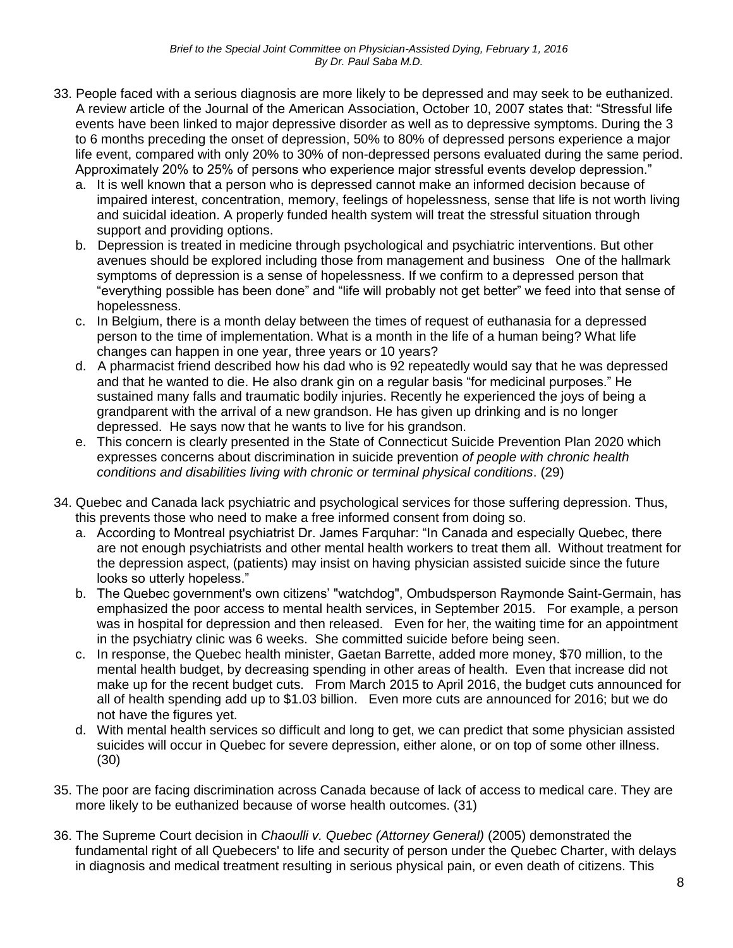- 33. People faced with a serious diagnosis are more likely to be depressed and may seek to be euthanized. A review article of the Journal of the American Association, October 10, 2007 states that: "Stressful life events have been linked to major depressive disorder as well as to depressive symptoms. During the 3 to 6 months preceding the onset of depression, 50% to 80% of depressed persons experience a major life event, compared with only 20% to 30% of non-depressed persons evaluated during the same period. Approximately 20% to 25% of persons who experience major stressful events develop depression."
	- a. It is well known that a person who is depressed cannot make an informed decision because of impaired interest, concentration, memory, feelings of hopelessness, sense that life is not worth living and suicidal ideation. A properly funded health system will treat the stressful situation through support and providing options.
	- b. Depression is treated in medicine through psychological and psychiatric interventions. But other avenues should be explored including those from management and business One of the hallmark symptoms of depression is a sense of hopelessness. If we confirm to a depressed person that "everything possible has been done" and "life will probably not get better" we feed into that sense of hopelessness.
	- c. In Belgium, there is a month delay between the times of request of euthanasia for a depressed person to the time of implementation. What is a month in the life of a human being? What life changes can happen in one year, three years or 10 years?
	- d. A pharmacist friend described how his dad who is 92 repeatedly would say that he was depressed and that he wanted to die. He also drank gin on a regular basis "for medicinal purposes." He sustained many falls and traumatic bodily injuries. Recently he experienced the joys of being a grandparent with the arrival of a new grandson. He has given up drinking and is no longer depressed. He says now that he wants to live for his grandson.
	- e. This concern is clearly presented in the State of Connecticut Suicide Prevention Plan 2020 which expresses concerns about discrimination in suicide prevention *of people with chronic health conditions and disabilities living with chronic or terminal physical conditions*. (29)
- 34. Quebec and Canada lack psychiatric and psychological services for those suffering depression. Thus, this prevents those who need to make a free informed consent from doing so.
	- a. According to Montreal psychiatrist Dr. James Farquhar: "In Canada and especially Quebec, there are not enough psychiatrists and other mental health workers to treat them all. Without treatment for the depression aspect, (patients) may insist on having physician assisted suicide since the future looks so utterly hopeless."
	- b. The Quebec government's own citizens' "watchdog", Ombudsperson Raymonde Saint-Germain, has emphasized the poor access to mental health services, in September 2015. For example, a person was in hospital for depression and then released. Even for her, the waiting time for an appointment in the psychiatry clinic was 6 weeks. She committed suicide before being seen.
	- c. In response, the Quebec health minister, Gaetan Barrette, added more money, \$70 million, to the mental health budget, by decreasing spending in other areas of health. Even that increase did not make up for the recent budget cuts. From March 2015 to April 2016, the budget cuts announced for all of health spending add up to \$1.03 billion. Even more cuts are announced for 2016; but we do not have the figures yet.
	- d. With mental health services so difficult and long to get, we can predict that some physician assisted suicides will occur in Quebec for severe depression, either alone, or on top of some other illness. (30)
- 35. The poor are facing discrimination across Canada because of lack of access to medical care. They are more likely to be euthanized because of worse health outcomes. (31)
- 36. The Supreme Court decision in *Chaoulli v. Quebec (Attorney General)* (2005) demonstrated the fundamental right of all [Quebecers'](https://en.wikipedia.org/wiki/Quebec) [to life](https://en.wikipedia.org/wiki/Right_to_life) and [security of person](https://en.wikipedia.org/wiki/Security_of_person) under the Quebec Charter, with delays in diagnosis and medical treatment resulting in serious physical pain, or even death of citizens. This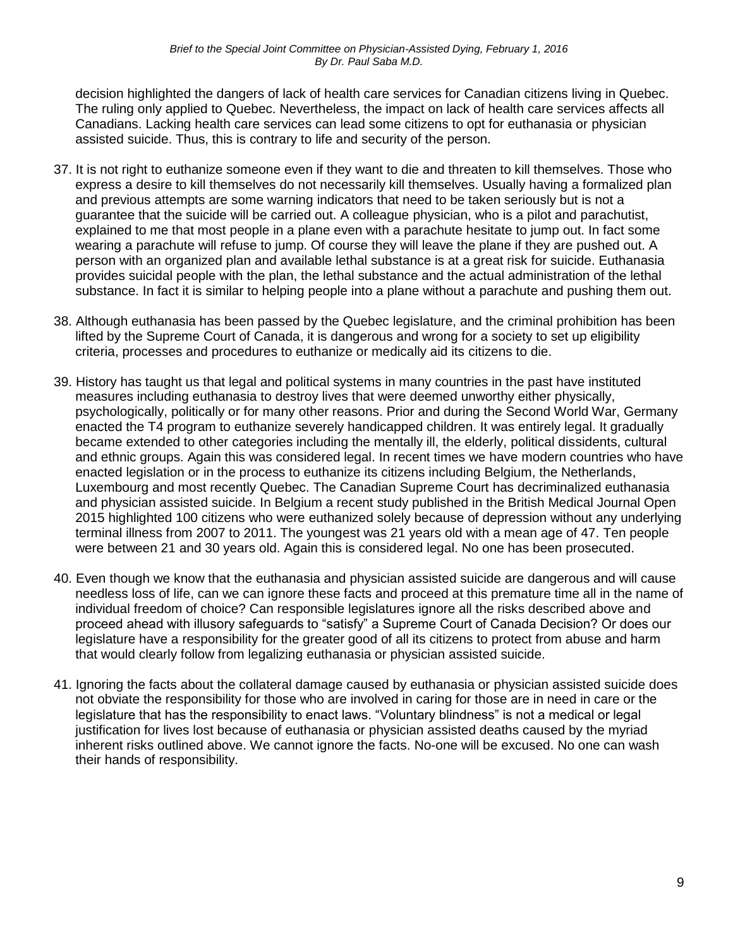decision highlighted the dangers of lack of health care services for Canadian citizens living in Quebec. The ruling only applied to Quebec. Nevertheless, the impact on lack of health care services affects all Canadians. Lacking health care services can lead some citizens to opt for euthanasia or physician assisted suicide. Thus, this is contrary to life and security of the person.

- 37. It is not right to euthanize someone even if they want to die and threaten to kill themselves. Those who express a desire to kill themselves do not necessarily kill themselves. Usually having a formalized plan and previous attempts are some warning indicators that need to be taken seriously but is not a guarantee that the suicide will be carried out. A colleague physician, who is a pilot and parachutist, explained to me that most people in a plane even with a parachute hesitate to jump out. In fact some wearing a parachute will refuse to jump. Of course they will leave the plane if they are pushed out. A person with an organized plan and available lethal substance is at a great risk for suicide. Euthanasia provides suicidal people with the plan, the lethal substance and the actual administration of the lethal substance. In fact it is similar to helping people into a plane without a parachute and pushing them out.
- 38. Although euthanasia has been passed by the Quebec legislature, and the criminal prohibition has been lifted by the Supreme Court of Canada, it is dangerous and wrong for a society to set up eligibility criteria, processes and procedures to euthanize or medically aid its citizens to die.
- 39. History has taught us that legal and political systems in many countries in the past have instituted measures including euthanasia to destroy lives that were deemed unworthy either physically, psychologically, politically or for many other reasons. Prior and during the Second World War, Germany enacted the T4 program to euthanize severely handicapped children. It was entirely legal. It gradually became extended to other categories including the mentally ill, the elderly, political dissidents, cultural and ethnic groups. Again this was considered legal. In recent times we have modern countries who have enacted legislation or in the process to euthanize its citizens including Belgium, the Netherlands, Luxembourg and most recently Quebec. The Canadian Supreme Court has decriminalized euthanasia and physician assisted suicide. In Belgium a recent study published in the British Medical Journal Open 2015 highlighted 100 citizens who were euthanized solely because of depression without any underlying terminal illness from 2007 to 2011. The youngest was 21 years old with a mean age of 47. Ten people were between 21 and 30 years old. Again this is considered legal. No one has been prosecuted.
- 40. Even though we know that the euthanasia and physician assisted suicide are dangerous and will cause needless loss of life, can we can ignore these facts and proceed at this premature time all in the name of individual freedom of choice? Can responsible legislatures ignore all the risks described above and proceed ahead with illusory safeguards to "satisfy" a Supreme Court of Canada Decision? Or does our legislature have a responsibility for the greater good of all its citizens to protect from abuse and harm that would clearly follow from legalizing euthanasia or physician assisted suicide.
- 41. Ignoring the facts about the collateral damage caused by euthanasia or physician assisted suicide does not obviate the responsibility for those who are involved in caring for those are in need in care or the legislature that has the responsibility to enact laws. "Voluntary blindness" is not a medical or legal justification for lives lost because of euthanasia or physician assisted deaths caused by the myriad inherent risks outlined above. We cannot ignore the facts. No-one will be excused. No one can wash their hands of responsibility.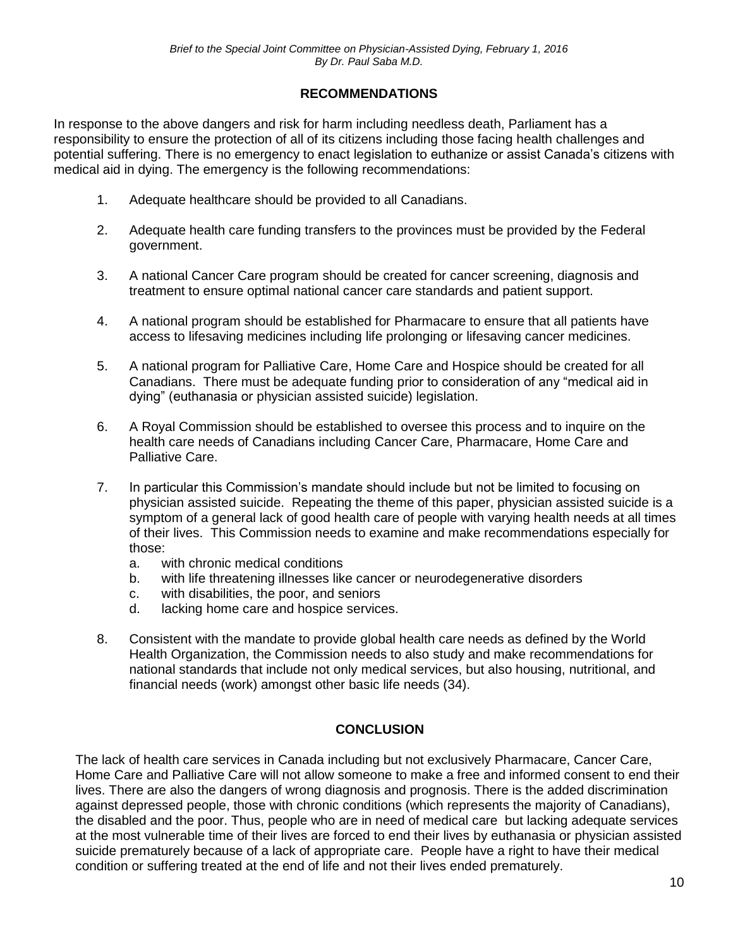### **RECOMMENDATIONS**

In response to the above dangers and risk for harm including needless death, Parliament has a responsibility to ensure the protection of all of its citizens including those facing health challenges and potential suffering. There is no emergency to enact legislation to euthanize or assist Canada's citizens with medical aid in dying. The emergency is the following recommendations:

- 1. Adequate healthcare should be provided to all Canadians.
- 2. Adequate health care funding transfers to the provinces must be provided by the Federal government.
- 3. A national Cancer Care program should be created for cancer screening, diagnosis and treatment to ensure optimal national cancer care standards and patient support.
- 4. A national program should be established for Pharmacare to ensure that all patients have access to lifesaving medicines including life prolonging or lifesaving cancer medicines.
- 5. A national program for Palliative Care, Home Care and Hospice should be created for all Canadians. There must be adequate funding prior to consideration of any "medical aid in dying" (euthanasia or physician assisted suicide) legislation.
- 6. A Royal Commission should be established to oversee this process and to inquire on the health care needs of Canadians including Cancer Care, Pharmacare, Home Care and Palliative Care.
- 7. In particular this Commission's mandate should include but not be limited to focusing on physician assisted suicide. Repeating the theme of this paper, physician assisted suicide is a symptom of a general lack of good health care of people with varying health needs at all times of their lives. This Commission needs to examine and make recommendations especially for those:
	- a. with chronic medical conditions
	- b. with life threatening illnesses like cancer or neurodegenerative disorders
	- c. with disabilities, the poor, and seniors
	- d. lacking home care and hospice services.
- 8. Consistent with the mandate to provide global health care needs as defined by the World Health Organization, the Commission needs to also study and make recommendations for national standards that include not only medical services, but also housing, nutritional, and financial needs (work) amongst other basic life needs (34).

#### **CONCLUSION**

The lack of health care services in Canada including but not exclusively Pharmacare, Cancer Care, Home Care and Palliative Care will not allow someone to make a free and informed consent to end their lives. There are also the dangers of wrong diagnosis and prognosis. There is the added discrimination against depressed people, those with chronic conditions (which represents the majority of Canadians), the disabled and the poor. Thus, people who are in need of medical care but lacking adequate services at the most vulnerable time of their lives are forced to end their lives by euthanasia or physician assisted suicide prematurely because of a lack of appropriate care. People have a right to have their medical condition or suffering treated at the end of life and not their lives ended prematurely.